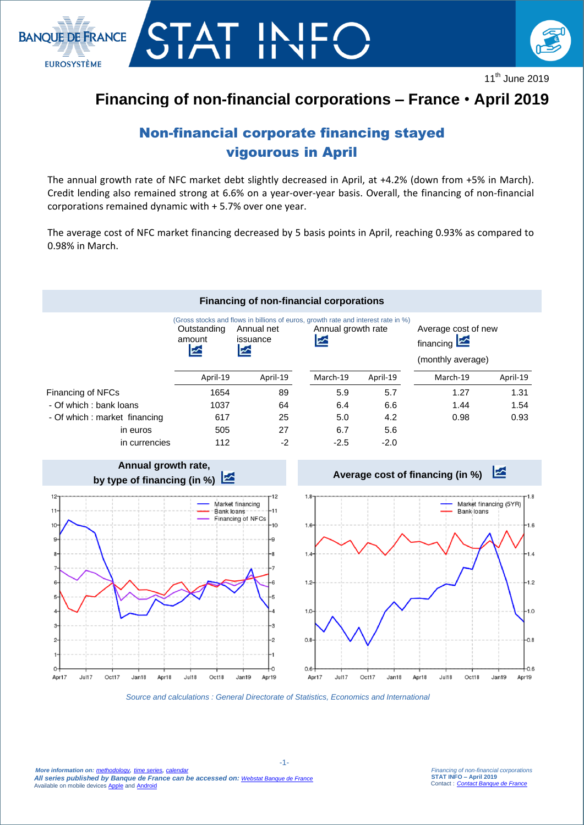

**EUROSYSTÈME** 



11<sup>th</sup> June 2019

# **Financing of non-financial corporations – France** • **April 2019**

# Non-financial corporate financing stayed vigourous in April

The annual growth rate of NFC market debt slightly decreased in April, at +4.2% (down from +5% in March). Credit lending also remained strong at 6.6% on a year-over-year basis. Overall, the financing of non-financial corporations remained dynamic with + 5.7% over one year.

The average cost of NFC market financing decreased by 5 basis points in April, reaching 0.93% as compared to 0.98% in March.

### **Financing of non-financial corporations**

|                               | Outstanding<br>amount | Annual net<br>issuance<br>" | (Gross stocks and flows in billions of euros, growth rate and interest rate in %)<br>Annual growth rate<br>⊵ |          | Average cost of new<br>financing $\mathbf{z}$<br>(monthly average) |          |
|-------------------------------|-----------------------|-----------------------------|--------------------------------------------------------------------------------------------------------------|----------|--------------------------------------------------------------------|----------|
|                               | April-19              | April-19                    | March-19                                                                                                     | April-19 | March-19                                                           | April-19 |
| Financing of NFCs             | 1654                  | 89                          | 5.9                                                                                                          | 5.7      | 1.27                                                               | 1.31     |
| - Of which : bank loans       | 1037                  | 64                          | 6.4                                                                                                          | 6.6      | 1.44                                                               | 1.54     |
| - Of which : market financing | 617                   | 25                          | 5.0                                                                                                          | 4.2      | 0.98                                                               | 0.93     |
| in euros                      | 505                   | 27                          | 6.7                                                                                                          | 5.6      |                                                                    |          |
| in currencies                 | 112                   | $-2$                        | $-2.5$                                                                                                       | $-2.0$   |                                                                    |          |



*Source and calculations : General Directorate of Statistics, Economics and International*